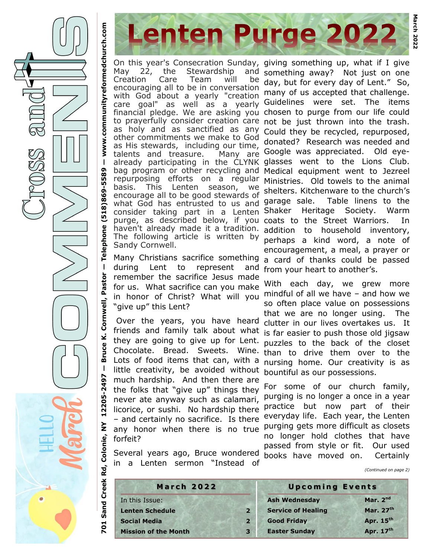**Telephone (518)869-5589 www.communityreformedchurch.com** On this year's Consecration Sunday, May 22, the Stewardship and Creation Care Team will be encouraging all to be in conversation with God about a yearly "creation care goal" as well as a yearly financial pledge. We are asking you chosen to purge from our life could to prayerfully consider creation care not be just thrown into the trash. as holy and as sanctified as any other commitments we make to God as His stewards, including our time, talents and treasure. already participating in the CLYNK bag program or other recycling and repurposing efforts on a regular basis. This Lenten season, we encourage all to be good stewards of what God has entrusted to us and consider taking part in a Lenten-Shaker Heritage Society. Warm purge, as described below, if you coats to the Street Warriors. In haven't already made it a tradition. The following article is written by Sandy Cornwell.

**Lenten Purge 2022** 

Many Christians sacrifice something during Lent to represent and remember the sacrifice Jesus made for us. What sacrifice can you make in honor of Christ? What will you mindful of all we have – and how we "give up" this Lent?

 **Bruce K. Cornwell, Pastor**  Over the years, you have heard friends and family talk about what they are going to give up for Lent. Chocolate. Bread. Sweets. Wine than to drive them over to the Lots of food items that can, with a little creativity, be avoided without much hardship. And then there are the folks that "give up" things they never ate anyway such as calamari, licorice, or sushi. No hardship there – and certainly no sacrifice. Is there any honor when there is no true purging gets more difficult as closets forfeit?

Several years ago, Bruce wondered in a Lenten sermon "Instead of

giving something up, what if I give something away? Not just on one day, but for every day of Lent." So, many of us accepted that challenge. Guidelines were set. The items Could they be recycled, repurposed, donated? Research was needed and Many are Google was appreciated. Old eyeglasses went to the Lions Club. Medical equipment went to Jezreel Ministries. Old towels to the animal shelters. Kitchenware to the church's garage sale. Table linens to the addition to household inventory, perhaps a kind word, a note of encouragement, a meal, a prayer or a card of thanks could be passed from your heart to another's.

> With each day, we grew more so often place value on possessions that we are no longer using. The clutter in our lives overtakes us. It is far easier to push those old jigsaw puzzles to the back of the closet nursing home. Our creativity is as bountiful as our possessions.

> For some of our church family, purging is no longer a once in a year practice but now part of their everyday life. Each year, the Lenten no longer hold clothes that have passed from style or fit. Our used books have moved on. Certainly

> > *(Continued on page 2)*

| <b>March 2022</b>           |                | <b>Upcoming Events</b>    |            |
|-----------------------------|----------------|---------------------------|------------|
| In this Issue:              |                | <b>Ash Wednesday</b>      | Mar. $2nd$ |
| <b>Lenten Schedule</b>      | $\overline{2}$ | <b>Service of Healing</b> | Mar. 27th  |
| <b>Social Media</b>         | $\overline{2}$ | <b>Good Friday</b>        | Apr. 15th  |
| <b>Mission of the Month</b> | 3 <sup>1</sup> | <b>Easter Sunday</b>      | Apr. 17th  |

**701 Sand Creek Rd, Colonie, NY 12205-2497** 

Colonie,

701 Sand Creek Rd,

**—**

 $\mathbf{I}$ 

12205-2497

 $\mathsf{\Sigma}$ 

www.communityreformedchurch.com

 $\mathbf{I}$ 

5589

[518]869-

Telephone

 $\mathbf{I}$ 

Pastor

Cornwell,

¥,

**Bruce**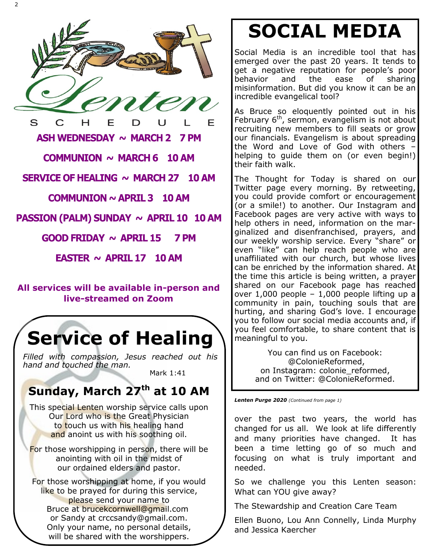

COMMUNION  $\sim$  MARCH 6 10 AM

SERVICE OF HEALING  $\sim$  MARCH 27 10 AM

COMMUNION  $\sim$  APRIL 3 10 AM

PASSION (PALM) SUNDAY ~ APRIL 10 10 AM

**GOOD FRIDAY**  $\sim$  **APRIL 15** 7 PM

EASTER  $\sim$  APRIL 17 10 AM

#### **All services will be available in-person and live-streamed on Zoom**

## **Service of Healing**

*Filled with compassion, Jesus reached out his hand and touched the man.*

Mark 1:41

## **Sunday, March 27th at 10 AM**

This special Lenten worship service calls upon Our Lord who is the Great Physician to touch us with his healing hand and anoint us with his soothing oil.

For those worshipping in person, there will be anointing with oil in the midst of our ordained elders and pastor.

For those worshipping at home, if you would like to be prayed for during this service, please send your name to Bruce at brucekcornwell@gmail.com or Sandy at crccsandy@gmail.com. Only your name, no personal details, will be shared with the worshippers.

# **SOCIAL MEDIA**

Social Media is an incredible tool that has emerged over the past 20 years. It tends to get a negative reputation for people's poor behavior and the ease of sharing misinformation. But did you know it can be an incredible evangelical tool?

As Bruce so eloquently pointed out in his February  $6<sup>th</sup>$ , sermon, evangelism is not about recruiting new members to fill seats or grow our financials. Evangelism is about spreading the Word and Love of God with others – helping to quide them on (or even begin!) their faith walk.

The Thought for Today is shared on our Twitter page every morning. By retweeting, you could provide comfort or encouragement (or a smile!) to another. Our Instagram and Facebook pages are very active with ways to help others in need, information on the marginalized and disenfranchised, prayers, and our weekly worship service. Every "share" or even "like" can help reach people who are unaffiliated with our church, but whose lives can be enriched by the information shared. At the time this article is being written, a prayer shared on our Facebook page has reached over 1,000 people – 1,000 people lifting up a community in pain, touching souls that are hurting, and sharing God's love. I encourage you to follow our social media accounts and, if you feel comfortable, to share content that is meaningful to you.

> You can find us on Facebook: @ColonieReformed, on Instagram: colonie\_reformed, and on Twitter: @ColonieReformed.

*Lenten Purge 2020 (Continued from page 1)*

over the past two years, the world has changed for us all. We look at life differently and many priorities have changed. It has been a time letting go of so much and focusing on what is truly important and needed.

So we challenge you this Lenten season: What can YOU give away?

The Stewardship and Creation Care Team

Ellen Buono, Lou Ann Connelly, Linda Murphy and Jessica Kaercher